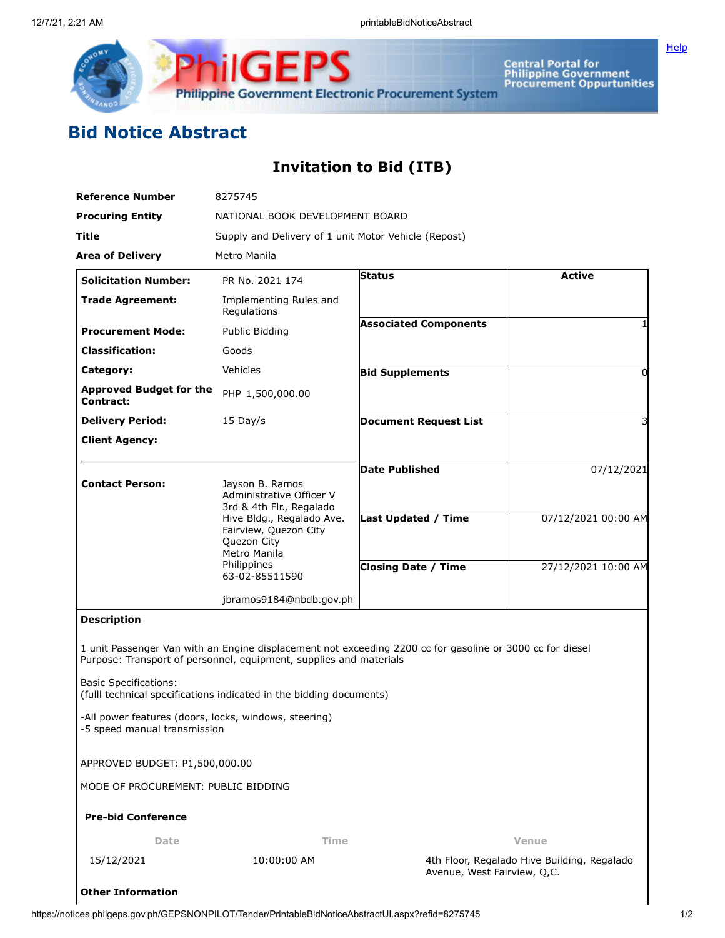

**Central Portal for<br>Philippine Government<br>Procurement Oppurtunities** 

## **Bid Notice Abstract**

## **Invitation to Bid (ITB)**

| <b>Reference Number</b>                                                               | 8275745                                                                                                                                   |                                                                                                           |                     |
|---------------------------------------------------------------------------------------|-------------------------------------------------------------------------------------------------------------------------------------------|-----------------------------------------------------------------------------------------------------------|---------------------|
| <b>Procuring Entity</b>                                                               | NATIONAL BOOK DEVELOPMENT BOARD                                                                                                           |                                                                                                           |                     |
| <b>Title</b>                                                                          | Supply and Delivery of 1 unit Motor Vehicle (Repost)                                                                                      |                                                                                                           |                     |
| <b>Area of Delivery</b>                                                               | Metro Manila                                                                                                                              |                                                                                                           |                     |
| <b>Solicitation Number:</b>                                                           | PR No. 2021 174                                                                                                                           | <b>Status</b>                                                                                             | <b>Active</b>       |
| <b>Trade Agreement:</b>                                                               | Implementing Rules and<br>Regulations                                                                                                     |                                                                                                           |                     |
| <b>Procurement Mode:</b>                                                              | Public Bidding                                                                                                                            | <b>Associated Components</b>                                                                              |                     |
| <b>Classification:</b>                                                                | Goods                                                                                                                                     |                                                                                                           |                     |
| Category:                                                                             | Vehicles                                                                                                                                  | <b>Bid Supplements</b>                                                                                    | 0                   |
| <b>Approved Budget for the</b><br>Contract:                                           | PHP 1,500,000.00                                                                                                                          |                                                                                                           |                     |
| <b>Delivery Period:</b>                                                               | $15$ Day/s                                                                                                                                | <b>Document Request List</b>                                                                              | 3                   |
| <b>Client Agency:</b>                                                                 |                                                                                                                                           |                                                                                                           |                     |
| <b>Contact Person:</b>                                                                | Jayson B. Ramos                                                                                                                           | <b>Date Published</b>                                                                                     | 07/12/2021          |
|                                                                                       | Administrative Officer V<br>3rd & 4th Flr., Regalado                                                                                      |                                                                                                           |                     |
|                                                                                       | Hive Bldg., Regalado Ave.<br>Fairview, Quezon City<br>Quezon City                                                                         | <b>Last Updated / Time</b>                                                                                | 07/12/2021 00:00 AM |
|                                                                                       | Metro Manila<br>Philippines<br>63-02-85511590                                                                                             | <b>Closing Date / Time</b>                                                                                | 27/12/2021 10:00 AM |
|                                                                                       | jbramos9184@nbdb.gov.ph                                                                                                                   |                                                                                                           |                     |
| <b>Description</b>                                                                    |                                                                                                                                           |                                                                                                           |                     |
| <b>Basic Specifications:</b>                                                          | Purpose: Transport of personnel, equipment, supplies and materials<br>(fulll technical specifications indicated in the bidding documents) | 1 unit Passenger Van with an Engine displacement not exceeding 2200 cc for gasoline or 3000 cc for diesel |                     |
| -All power features (doors, locks, windows, steering)<br>-5 speed manual transmission |                                                                                                                                           |                                                                                                           |                     |
| APPROVED BUDGET: P1,500,000.00                                                        |                                                                                                                                           |                                                                                                           |                     |
| MODE OF PROCUREMENT: PUBLIC BIDDING                                                   |                                                                                                                                           |                                                                                                           |                     |
| <b>Pre-bid Conference</b>                                                             |                                                                                                                                           |                                                                                                           |                     |
| Date                                                                                  | Time                                                                                                                                      |                                                                                                           | Venue               |
| 15/12/2021                                                                            | 10:00:00 AM                                                                                                                               | 4th Floor, Regalado Hive Building, Regalado<br>Avenue, West Fairview, Q,C.                                |                     |